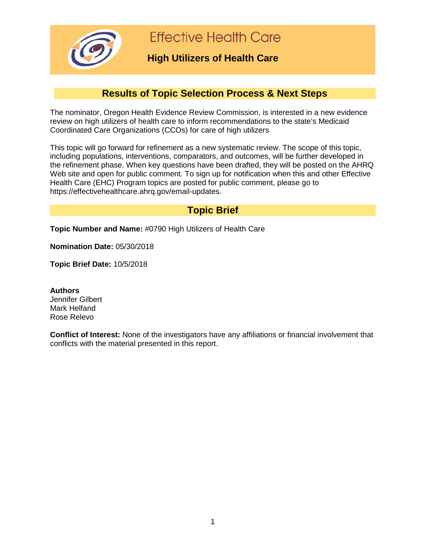

**Effective Health Care** 

## **High Utilizers of Health Care**

# **Results of Topic Selection Process & Next Steps**

The nominator, Oregon Health Evidence Review Commission, is interested in a new evidence review on high utilizers of health care to inform recommendations to the state's Medicaid Coordinated Care Organizations (CCOs) for care of high utilizers

This topic will go forward for refinement as a new systematic review. The scope of this topic, including populations, interventions, comparators, and outcomes, will be further developed in the refinement phase. When key questions have been drafted, they will be posted on the AHRQ Web site and open for public comment. To sign up for notification when this and other Effective Health Care (EHC) Program topics are posted for public comment, please go to https://effectivehealthcare.ahrq.gov/email-updates.

## **Topic Brief**

**Topic Number and Name:** #0790 High Utilizers of Health Care

**Nomination Date:** 05/30/2018

**Topic Brief Date:** 10/5/2018

**Authors** Jennifer Gilbert Mark Helfand Rose Relevo

**Conflict of Interest:** None of the investigators have any affiliations or financial involvement that conflicts with the material presented in this report.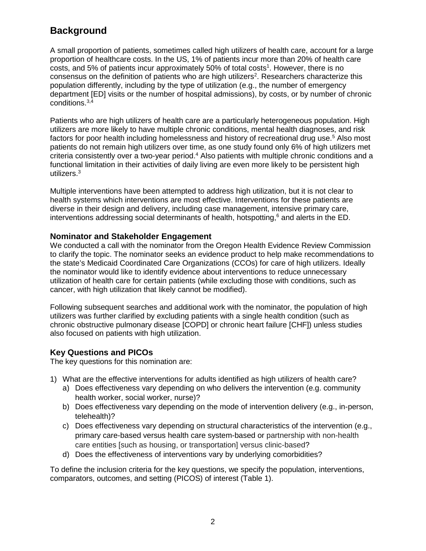# **Background**

A small proportion of patients, sometimes called high utilizers of health care, account for a large proportion of healthcare costs. In the US, 1% of patients incur more than 20% of health care costs, and 5% of patients incur approximately 50% of total costs<sup>1</sup>. However, there is no consensus on the definition of patients who are high utilizers<sup>2</sup>. Researchers characterize this population differently, including by the type of utilization (e.g., the number of emergency department [ED] visits or the number of hospital admissions), by costs, or by number of chronic conditions.3,4

Patients who are high utilizers of health care are a particularly heterogeneous population. High utilizers are more likely to have multiple chronic conditions, mental health diagnoses, and risk factors for poor health including homelessness and history of recreational drug use.<sup>5</sup> Also most patients do not remain high utilizers over time, as one study found only 6% of high utilizers met criteria consistently over a two-year period.4 Also patients with multiple chronic conditions and a functional limitation in their activities of daily living are even more likely to be persistent high utilizers.3

Multiple interventions have been attempted to address high utilization, but it is not clear to health systems which interventions are most effective. Interventions for these patients are diverse in their design and delivery, including case management, intensive primary care, interventions addressing social determinants of health, hotspotting, $6$  and alerts in the ED.

#### **Nominator and Stakeholder Engagement**

We conducted a call with the nominator from the Oregon Health Evidence Review Commission to clarify the topic. The nominator seeks an evidence product to help make recommendations to the state's Medicaid Coordinated Care Organizations (CCOs) for care of high utilizers. Ideally the nominator would like to identify evidence about interventions to reduce unnecessary utilization of health care for certain patients (while excluding those with conditions, such as cancer, with high utilization that likely cannot be modified).

Following subsequent searches and additional work with the nominator, the population of high utilizers was further clarified by excluding patients with a single health condition (such as chronic obstructive pulmonary disease [COPD] or chronic heart failure [CHF]) unless studies also focused on patients with high utilization.

#### **Key Questions and PICOs**

The key questions for this nomination are:

- 1) What are the effective interventions for adults identified as high utilizers of health care?
	- a) Does effectiveness vary depending on who delivers the intervention (e.g. community health worker, social worker, nurse)?
	- b) Does effectiveness vary depending on the mode of intervention delivery (e.g., in-person, telehealth)?
	- c) Does effectiveness vary depending on structural characteristics of the intervention (e.g., primary care-based versus health care system-based or partnership with non-health care entities [such as housing, or transportation] versus clinic-based?
	- d) Does the effectiveness of interventions vary by underlying comorbidities?

To define the inclusion criteria for the key questions, we specify the population, interventions, comparators, outcomes, and setting (PICOS) of interest (Table 1).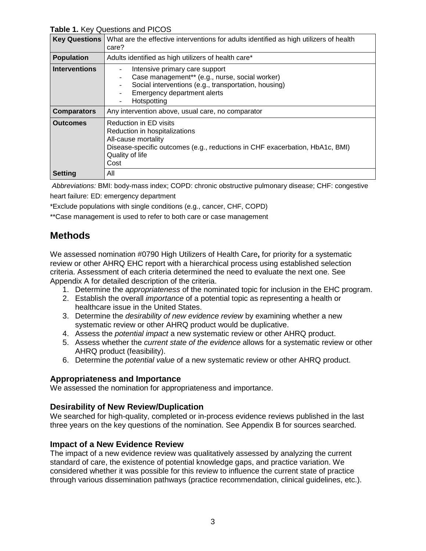**Table 1.** Key Questions and PICOS

| <b>Key Questions</b> | What are the effective interventions for adults identified as high utilizers of health<br>care?                                                                                           |  |
|----------------------|-------------------------------------------------------------------------------------------------------------------------------------------------------------------------------------------|--|
| <b>Population</b>    | Adults identified as high utilizers of health care*                                                                                                                                       |  |
| <b>Interventions</b> | Intensive primary care support<br>Case management** (e.g., nurse, social worker)<br>Social interventions (e.g., transportation, housing)<br>Emergency department alerts<br>Hotspotting    |  |
| <b>Comparators</b>   | Any intervention above, usual care, no comparator                                                                                                                                         |  |
| <b>Outcomes</b>      | Reduction in ED visits<br>Reduction in hospitalizations<br>All-cause mortality<br>Disease-specific outcomes (e.g., reductions in CHF exacerbation, HbA1c, BMI)<br>Quality of life<br>Cost |  |
| <b>Setting</b>       | All                                                                                                                                                                                       |  |

*Abbreviations:* BMI: body-mass index; COPD: chronic obstructive pulmonary disease; CHF: congestive heart failure: ED: emergency department

\*Exclude populations with single conditions (e.g., cancer, CHF, COPD)

\*\*Case management is used to refer to both care or case management

## **Methods**

We assessed nomination #0790 High Utilizers of Health Care**,** for priority for a systematic review or other AHRQ EHC report with a hierarchical process using established selection criteria. Assessment of each criteria determined the need to evaluate the next one. See Appendix A for detailed description of the criteria.

- 1. Determine the *appropriateness* of the nominated topic for inclusion in the EHC program.
- 2. Establish the overall *importance* of a potential topic as representing a health or healthcare issue in the United States.
- 3. Determine the *desirability of new evidence review* by examining whether a new systematic review or other AHRQ product would be duplicative.
- 4. Assess the *potential impact* a new systematic review or other AHRQ product.
- 5. Assess whether the *current state of the evidence* allows for a systematic review or other AHRQ product (feasibility).
- 6. Determine the *potential value* of a new systematic review or other AHRQ product.

#### **Appropriateness and Importance**

We assessed the nomination for appropriateness and importance.

#### **Desirability of New Review/Duplication**

We searched for high-quality, completed or in-process evidence reviews published in the last three years on the key questions of the nomination. See Appendix B for sources searched.

#### **Impact of a New Evidence Review**

The impact of a new evidence review was qualitatively assessed by analyzing the current standard of care, the existence of potential knowledge gaps, and practice variation. We considered whether it was possible for this review to influence the current state of practice through various dissemination pathways (practice recommendation, clinical guidelines, etc.).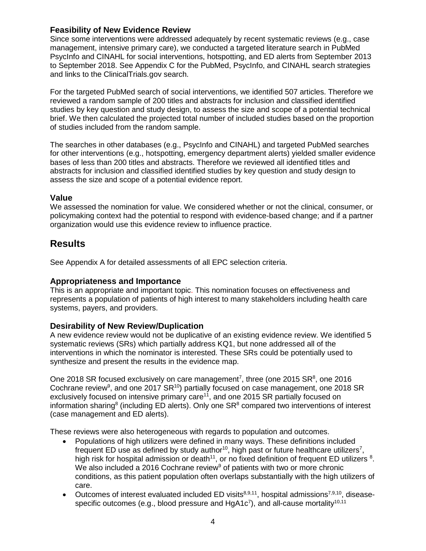#### **Feasibility of New Evidence Review**

Since some interventions were addressed adequately by recent systematic reviews (e.g., case management, intensive primary care), we conducted a targeted literature search in PubMed PsycInfo and CINAHL for social interventions, hotspotting, and ED alerts from September 2013 to September 2018. See Appendix C for the PubMed, PsycInfo, and CINAHL search strategies and links to the ClinicalTrials.gov search.

For the targeted PubMed search of social interventions, we identified 507 articles. Therefore we reviewed a random sample of 200 titles and abstracts for inclusion and classified identified studies by key question and study design, to assess the size and scope of a potential technical brief. We then calculated the projected total number of included studies based on the proportion of studies included from the random sample.

The searches in other databases (e.g., PsycInfo and CINAHL) and targeted PubMed searches for other interventions (e.g., hotspotting, emergency department alerts) yielded smaller evidence bases of less than 200 titles and abstracts. Therefore we reviewed all identified titles and abstracts for inclusion and classified identified studies by key question and study design to assess the size and scope of a potential evidence report.

#### **Value**

We assessed the nomination for value. We considered whether or not the clinical, consumer, or policymaking context had the potential to respond with evidence-based change; and if a partner organization would use this evidence review to influence practice.

### **Results**

See Appendix A for detailed assessments of all EPC selection criteria.

#### **Appropriateness and Importance**

This is an appropriate and important topic. This nomination focuses on effectiveness and represents a population of patients of high interest to many stakeholders including health care systems, payers, and providers.

#### **Desirability of New Review/Duplication**

A new evidence review would not be duplicative of an existing evidence review. We identified 5 systematic reviews (SRs) which partially address KQ1, but none addressed all of the interventions in which the nominator is interested. These SRs could be potentially used to synthesize and present the results in the evidence map.

One 2018 SR focused exclusively on care management<sup>7</sup>, three (one 2015 SR<sup>8</sup>, one 2016 Cochrane review<sup>9</sup>, and one 2017 SR<sup>10</sup>) partially focused on case management, one 2018 SR exclusively focused on intensive primary care<sup>11</sup>, and one 2015 SR partially focused on information sharing<sup>8</sup> (including ED alerts). Only one  $SR<sup>8</sup>$  compared two interventions of interest (case management and ED alerts).

These reviews were also heterogeneous with regards to population and outcomes.

- Populations of high utilizers were defined in many ways. These definitions included frequent ED use as defined by study author<sup>10</sup>, high past or future healthcare utilizers<sup>7</sup>, high risk for hospital admission or death<sup>11</sup>, or no fixed definition of frequent ED utilizers  $8$ . We also included a 2016 Cochrane review<sup>9</sup> of patients with two or more chronic conditions, as this patient population often overlaps substantially with the high utilizers of care.
- Outcomes of interest evaluated included ED visits $8,9,11$ , hospital admissions $7,9,10$ , diseasespecific outcomes (e.g., blood pressure and HgA1c<sup>7</sup>), and all-cause mortality<sup>10,11</sup>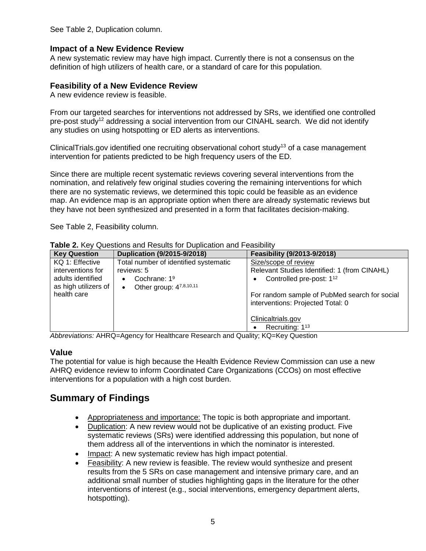See Table 2, Duplication column.

#### **Impact of a New Evidence Review**

A new systematic review may have high impact. Currently there is not a consensus on the definition of high utilizers of health care, or a standard of care for this population.

#### **Feasibility of a New Evidence Review**

A new evidence review is feasible.

From our targeted searches for interventions not addressed by SRs, we identified one controlled pre-post study<sup>12</sup> addressing a social intervention from our CINAHL search. We did not identify any studies on using hotspotting or ED alerts as interventions.

ClinicalTrials.gov identified one recruiting observational cohort study<sup>13</sup> of a case management intervention for patients predicted to be high frequency users of the ED.

Since there are multiple recent systematic reviews covering several interventions from the nomination, and relatively few original studies covering the remaining interventions for which there are no systematic reviews, we determined this topic could be feasible as an evidence map. An evidence map is an appropriate option when there are already systematic reviews but they have not been synthesized and presented in a form that facilitates decision-making.

See Table 2, Feasibility column.

| <b>Key Question</b>  | Duplication (9/2015-9/2018)           | Feasibility (9/2013-9/2018)                                                        |
|----------------------|---------------------------------------|------------------------------------------------------------------------------------|
| KQ 1: Effective      | Total number of identified systematic | Size/scope of review                                                               |
| interventions for    | reviews: 5                            | Relevant Studies Identified: 1 (from CINAHL)                                       |
| adults identified    | Cochrane: $19$<br>$\bullet$           | Controlled pre-post: 1 <sup>12</sup>                                               |
| as high utilizers of | Other group: 47,8,10,11<br>$\bullet$  |                                                                                    |
| health care          |                                       | For random sample of PubMed search for social<br>interventions: Projected Total: 0 |
|                      |                                       | Clinicaltrials.gov                                                                 |
|                      |                                       | Recruiting: $1^{13}$                                                               |

**Table 2.** Key Questions and Results for Duplication and Feasibility

*Abbreviations:* AHRQ=Agency for Healthcare Research and Quality; KQ=Key Question

#### **Value**

The potential for value is high because the Health Evidence Review Commission can use a new AHRQ evidence review to inform Coordinated Care Organizations (CCOs) on most effective interventions for a population with a high cost burden.

## **Summary of Findings**

- Appropriateness and importance: The topic is both appropriate and important.
- Duplication: A new review would not be duplicative of an existing product. Five systematic reviews (SRs) were identified addressing this population, but none of them address all of the interventions in which the nominator is interested.
- Impact: A new systematic review has high impact potential.
- Feasibility: A new review is feasible. The review would synthesize and present results from the 5 SRs on case management and intensive primary care, and an additional small number of studies highlighting gaps in the literature for the other interventions of interest (e.g., social interventions, emergency department alerts, hotspotting).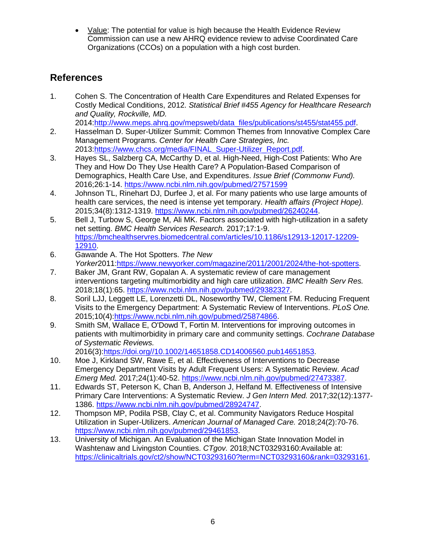• Value: The potential for value is high because the Health Evidence Review Commission can use a new AHRQ evidence review to advise Coordinated Care Organizations (CCOs) on a population with a high cost burden.

# **References**

1. Cohen S. The Concentration of Health Care Expenditures and Related Expenses for Costly Medical Conditions, 2012. *Statistical Brief #455 Agency for Healthcare Research and Quality, Rockville, MD.* 

2014:http://www.meps.ahrq.gov/mepsweb/data\_files/publications/st455/stat455.pdf.

- 2. Hasselman D. Super-Utilizer Summit: Common Themes from Innovative Complex Care Management Programs. *Center for Health Care Strategies, Inc.*  2013:https://www.chcs.org/media/FINAL\_Super-Utilizer\_Report.pdf.
- 3. Hayes SL, Salzberg CA, McCarthy D, et al. High-Need, High-Cost Patients: Who Are They and How Do They Use Health Care? A Population-Based Comparison of Demographics, Health Care Use, and Expenditures. *Issue Brief (Commonw Fund).*  2016;26:1-14.<https://www.ncbi.nlm.nih.gov/pubmed/27571599>
- 4. Johnson TL, Rinehart DJ, Durfee J, et al. For many patients who use large amounts of health care services, the need is intense yet temporary. *Health affairs (Project Hope).*  2015;34(8):1312-1319. [https://www.ncbi.nlm.nih.gov/pubmed/26240244.](https://www.ncbi.nlm.nih.gov/pubmed/26240244)
- 5. Bell J, Turbow S, George M, Ali MK. Factors associated with high-utilization in a safety net setting. *BMC Health Services Research.* 2017;17:1-9. [https://bmchealthservres.biomedcentral.com/articles/10.1186/s12913-12017-12209-](https://bmchealthservres.biomedcentral.com/articles/10.1186/s12913-12017-12209-12910) [12910.](https://bmchealthservres.biomedcentral.com/articles/10.1186/s12913-12017-12209-12910)
- 6. Gawande A. The Hot Spotters. *The New Yorker*2011:https://www.newyorker.com/magazine/2011/2001/2024/the-hot-spotters.
- 7. Baker JM, Grant RW, Gopalan A. A systematic review of care management interventions targeting multimorbidity and high care utilization. *BMC Health Serv Res.*  2018;18(1):65. https://www.ncbi.nlm.nih.gov/pubmed/29382327.
- 8. Soril LJJ, Leggett LE, Lorenzetti DL, Noseworthy TW, Clement FM. Reducing Frequent Visits to the Emergency Department: A Systematic Review of Interventions. *PLoS One.*  2015;10(4)[:https://www.ncbi.nlm.nih.gov/pubmed/25874866.](https://www.ncbi.nlm.nih.gov/pubmed/25874866)
- 9. Smith SM, Wallace E, O'Dowd T, Fortin M. Interventions for improving outcomes in patients with multimorbidity in primary care and community settings. *Cochrane Database of Systematic Reviews.*

2016(3):https://doi.org//10.1002/14651858.CD14006560.pub14651853.

- 10. Moe J, Kirkland SW, Rawe E, et al. Effectiveness of Interventions to Decrease Emergency Department Visits by Adult Frequent Users: A Systematic Review. *Acad Emerg Med.* 2017;24(1):40-52. https://www.ncbi.nlm.nih.gov/pubmed/27473387.
- 11. Edwards ST, Peterson K, Chan B, Anderson J, Helfand M. Effectiveness of Intensive Primary Care Interventions: A Systematic Review. *J Gen Intern Med.* 2017;32(12):1377- 1386. [https://www.ncbi.nlm.nih.gov/pubmed/28924747.](https://www.ncbi.nlm.nih.gov/pubmed/28924747)
- 12. Thompson MP, Podila PSB, Clay C, et al. Community Navigators Reduce Hospital Utilization in Super-Utilizers. *American Journal of Managed Care.* 2018;24(2):70-76. https://www.ncbi.nlm.nih.gov/pubmed/29461853.
- 13. University of Michigan. An Evaluation of the Michigan State Innovation Model in Washtenaw and Livingston Counties. *CTgov.* 2018;NCT03293160:Available at: https://clinicaltrials.gov/ct2/show/NCT03293160?term=NCT03293160&rank=03293161.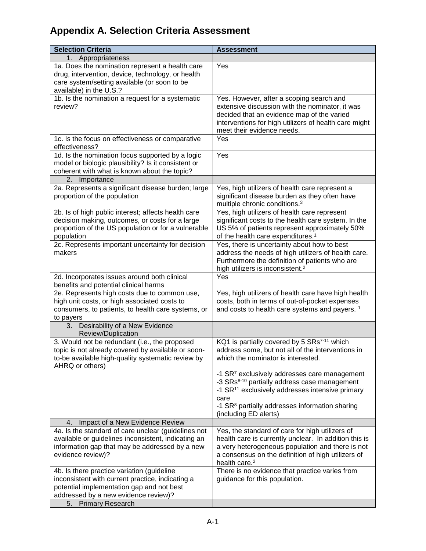# **Appendix A. Selection Criteria Assessment**

| <b>Selection Criteria</b>                                                                                                                                                                                  | <b>Assessment</b>                                                                                                                                                                                                                               |  |
|------------------------------------------------------------------------------------------------------------------------------------------------------------------------------------------------------------|-------------------------------------------------------------------------------------------------------------------------------------------------------------------------------------------------------------------------------------------------|--|
| Appropriateness<br>1.                                                                                                                                                                                      |                                                                                                                                                                                                                                                 |  |
| 1a. Does the nomination represent a health care<br>drug, intervention, device, technology, or health<br>care system/setting available (or soon to be<br>available) in the U.S.?                            | Yes                                                                                                                                                                                                                                             |  |
| 1b. Is the nomination a request for a systematic<br>review?                                                                                                                                                | Yes. However, after a scoping search and<br>extensive discussion with the nominator, it was<br>decided that an evidence map of the varied<br>interventions for high utilizers of health care might<br>meet their evidence needs.                |  |
| 1c. Is the focus on effectiveness or comparative<br>effectiveness?                                                                                                                                         | Yes                                                                                                                                                                                                                                             |  |
| 1d. Is the nomination focus supported by a logic<br>model or biologic plausibility? Is it consistent or<br>coherent with what is known about the topic?                                                    | Yes                                                                                                                                                                                                                                             |  |
| 2. Importance                                                                                                                                                                                              |                                                                                                                                                                                                                                                 |  |
| 2a. Represents a significant disease burden; large<br>proportion of the population                                                                                                                         | Yes, high utilizers of health care represent a<br>significant disease burden as they often have<br>multiple chronic conditions. <sup>3</sup>                                                                                                    |  |
| 2b. Is of high public interest; affects health care<br>decision making, outcomes, or costs for a large<br>proportion of the US population or for a vulnerable<br>population                                | Yes, high utilizers of health care represent<br>significant costs to the health care system. In the<br>US 5% of patients represent approximately 50%<br>of the health care expenditures. <sup>1</sup>                                           |  |
| 2c. Represents important uncertainty for decision<br>makers                                                                                                                                                | Yes, there is uncertainty about how to best<br>address the needs of high utilizers of health care.<br>Furthermore the definition of patients who are<br>high utilizers is inconsistent. <sup>2</sup>                                            |  |
| 2d. Incorporates issues around both clinical<br>benefits and potential clinical harms                                                                                                                      | Yes                                                                                                                                                                                                                                             |  |
| 2e. Represents high costs due to common use,<br>high unit costs, or high associated costs to<br>consumers, to patients, to health care systems, or<br>to payers                                            | Yes, high utilizers of health care have high health<br>costs, both in terms of out-of-pocket expenses<br>and costs to health care systems and payers. <sup>1</sup>                                                                              |  |
| Desirability of a New Evidence<br>3.<br>Review/Duplication                                                                                                                                                 |                                                                                                                                                                                                                                                 |  |
| 3. Would not be redundant (i.e., the proposed<br>topic is not already covered by available or soon-<br>to-be available high-quality systematic review by<br>AHRQ or others)                                | KQ1 is partially covered by 5 SRs <sup>7-11</sup> which<br>address some, but not all of the interventions in<br>which the nominator is interested.                                                                                              |  |
|                                                                                                                                                                                                            | -1 SR <sup>7</sup> exclusively addresses care management<br>-3 SRs <sup>8-10</sup> partially address case management<br>-1 SR <sup>11</sup> exclusively addresses intensive primary<br>care                                                     |  |
|                                                                                                                                                                                                            | -1 SR <sup>8</sup> partially addresses information sharing<br>(including ED alerts)                                                                                                                                                             |  |
| Impact of a New Evidence Review<br>4.                                                                                                                                                                      |                                                                                                                                                                                                                                                 |  |
| 4a. Is the standard of care unclear (guidelines not<br>available or guidelines inconsistent, indicating an<br>information gap that may be addressed by a new<br>evidence review)?                          | Yes, the standard of care for high utilizers of<br>health care is currently unclear. In addition this is<br>a very heterogeneous population and there is not<br>a consensus on the definition of high utilizers of<br>health care. <sup>2</sup> |  |
| 4b. Is there practice variation (guideline<br>inconsistent with current practice, indicating a<br>potential implementation gap and not best<br>addressed by a new evidence review)?<br>5. Primary Research | There is no evidence that practice varies from<br>guidance for this population.                                                                                                                                                                 |  |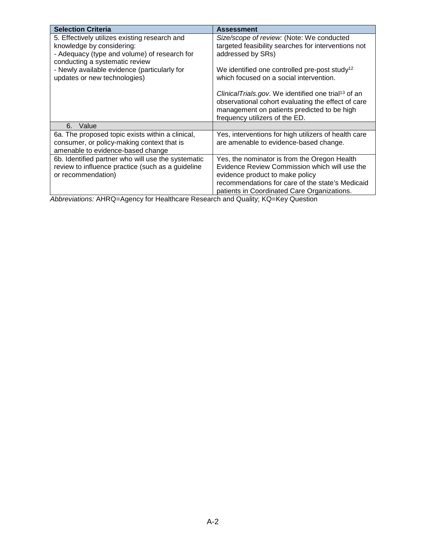| <b>Selection Criteria</b>                                                                                                                                    | <b>Assessment</b>                                                                                                                                                                                                                   |
|--------------------------------------------------------------------------------------------------------------------------------------------------------------|-------------------------------------------------------------------------------------------------------------------------------------------------------------------------------------------------------------------------------------|
| 5. Effectively utilizes existing research and<br>knowledge by considering:<br>- Adequacy (type and volume) of research for<br>conducting a systematic review | Size/scope of review: (Note: We conducted<br>targeted feasibility searches for interventions not<br>addressed by SRs)                                                                                                               |
| - Newly available evidence (particularly for<br>updates or new technologies)                                                                                 | We identified one controlled pre-post study <sup>12</sup><br>which focused on a social intervention.                                                                                                                                |
|                                                                                                                                                              | ClinicalTrials.gov. We identified one trial <sup>13</sup> of an<br>observational cohort evaluating the effect of care<br>management on patients predicted to be high<br>frequency utilizers of the ED.                              |
| Value<br>6.                                                                                                                                                  |                                                                                                                                                                                                                                     |
| 6a. The proposed topic exists within a clinical,<br>consumer, or policy-making context that is<br>amenable to evidence-based change                          | Yes, interventions for high utilizers of health care<br>are amenable to evidence-based change.                                                                                                                                      |
| 6b. Identified partner who will use the systematic<br>review to influence practice (such as a guideline<br>or recommendation)                                | Yes, the nominator is from the Oregon Health<br>Evidence Review Commission which will use the<br>evidence product to make policy<br>recommendations for care of the state's Medicaid<br>patients in Coordinated Care Organizations. |

*Abbreviations:* AHRQ=Agency for Healthcare Research and Quality; KQ=Key Question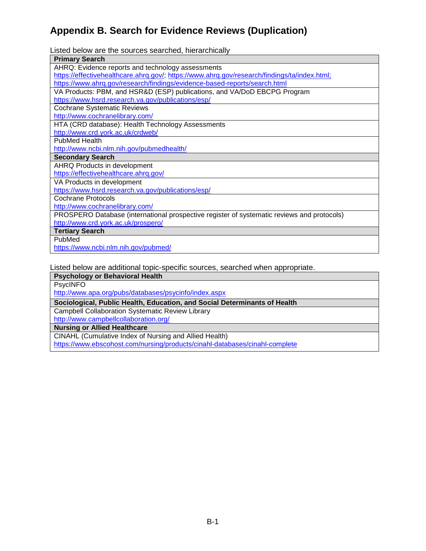# **Appendix B. Search for Evidence Reviews (Duplication)**

Listed below are the sources searched, hierarchically

| <b>Primary Search</b>                                                                        |  |  |
|----------------------------------------------------------------------------------------------|--|--|
| AHRQ: Evidence reports and technology assessments                                            |  |  |
| https://effectivehealthcare.ahrq.gov/; https://www.ahrq.gov/research/findings/ta/index.html; |  |  |
| https://www.ahrq.gov/research/findings/evidence-based-reports/search.html                    |  |  |
| VA Products: PBM, and HSR&D (ESP) publications, and VA/DoD EBCPG Program                     |  |  |
| https://www.hsrd.research.va.gov/publications/esp/                                           |  |  |
| <b>Cochrane Systematic Reviews</b>                                                           |  |  |
| http://www.cochranelibrary.com/                                                              |  |  |
| HTA (CRD database): Health Technology Assessments                                            |  |  |
| http://www.crd.york.ac.uk/crdweb/                                                            |  |  |
| <b>PubMed Health</b>                                                                         |  |  |
| http://www.ncbi.nlm.nih.gov/pubmedhealth/                                                    |  |  |
| <b>Secondary Search</b>                                                                      |  |  |
| AHRQ Products in development                                                                 |  |  |
| https://effectivehealthcare.ahrq.gov/                                                        |  |  |
| VA Products in development                                                                   |  |  |
| https://www.hsrd.research.va.gov/publications/esp/                                           |  |  |
| <b>Cochrane Protocols</b>                                                                    |  |  |
| http://www.cochranelibrary.com/                                                              |  |  |
| PROSPERO Database (international prospective register of systematic reviews and protocols)   |  |  |
| http://www.crd.york.ac.uk/prospero/                                                          |  |  |
| <b>Tertiary Search</b>                                                                       |  |  |
| PubMed                                                                                       |  |  |
| https://www.ncbi.nlm.nih.gov/pubmed/                                                         |  |  |
|                                                                                              |  |  |

Listed below are additional topic-specific sources, searched when appropriate.

#### **Psychology or Behavioral Health**

PsycINFO

http://www.apa.org/pubs/databases/psycinfo/index.aspx

**Sociological, Public Health, Education, and Social Determinants of Health**

Campbell Collaboration Systematic Review Library

http://www.campbellcollaboration.org/

**Nursing or Allied Healthcare**

CINAHL (Cumulative Index of Nursing and Allied Health)

https://www.ebscohost.com/nursing/products/cinahl-databases/cinahl-complete